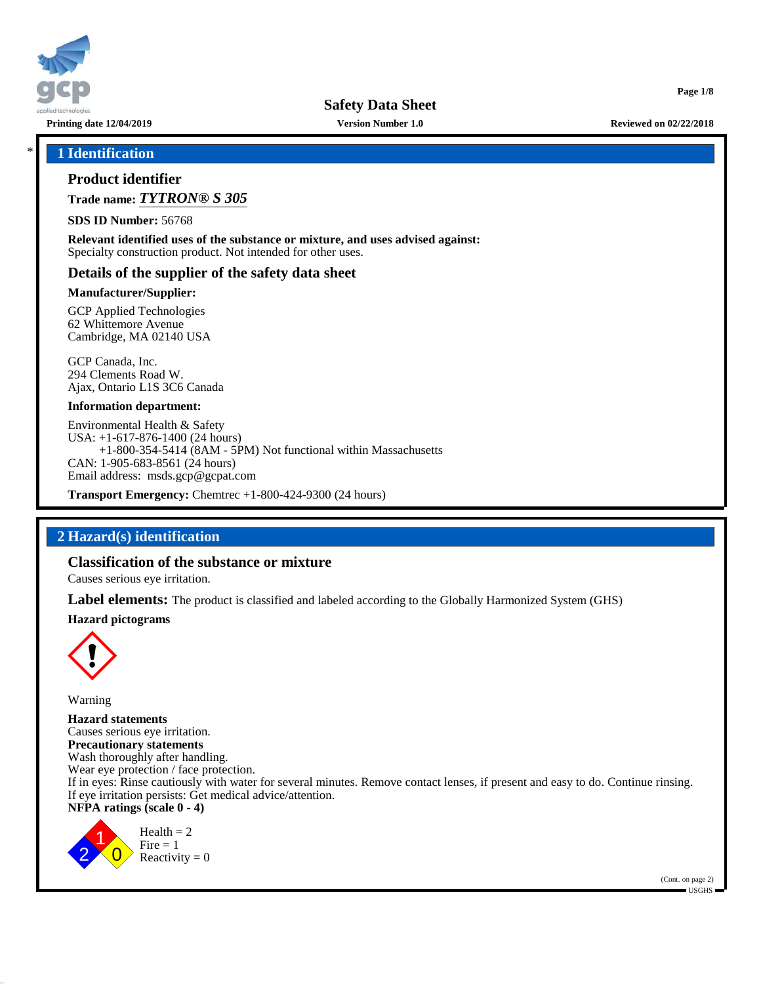

**Printing date 12/04/2019 Version Number 1.0 Reviewed on 02/22/2018**

**Page 1/8**

### \* **1 Identification**

### **Product identifier**

**Trade name:** *TYTRON® S 305*

**SDS ID Number:** 56768

**Relevant identified uses of the substance or mixture, and uses advised against:** Specialty construction product. Not intended for other uses.

### **Details of the supplier of the safety data sheet**

#### **Manufacturer/Supplier:**

GCP Applied Technologies 62 Whittemore Avenue Cambridge, MA 02140 USA

GCP Canada, Inc. 294 Clements Road W. Ajax, Ontario L1S 3C6 Canada

#### **Information department:**

Environmental Health & Safety USA: +1-617-876-1400 (24 hours) +1-800-354-5414 (8AM - 5PM) Not functional within Massachusetts CAN: 1-905-683-8561 (24 hours) Email address: msds.gcp@gcpat.com

**Transport Emergency:** Chemtrec +1-800-424-9300 (24 hours)

# **2 Hazard(s) identification**

### **Classification of the substance or mixture**

Causes serious eye irritation.

**Label elements:** The product is classified and labeled according to the Globally Harmonized System (GHS)

#### **Hazard pictograms**



Warning

**Hazard statements** Causes serious eye irritation. **Precautionary statements** Wash thoroughly after handling. Wear eye protection / face protection. If in eyes: Rinse cautiously with water for several minutes. Remove contact lenses, if present and easy to do. Continue rinsing. If eye irritation persists: Get medical advice/attention. **NFPA ratings (scale 0 - 4)**

2 1  $\overline{0}$  $Health = 2$  $Fire = 1$ Reactivity  $= 0$ 

> (Cont. on page 2) USGHS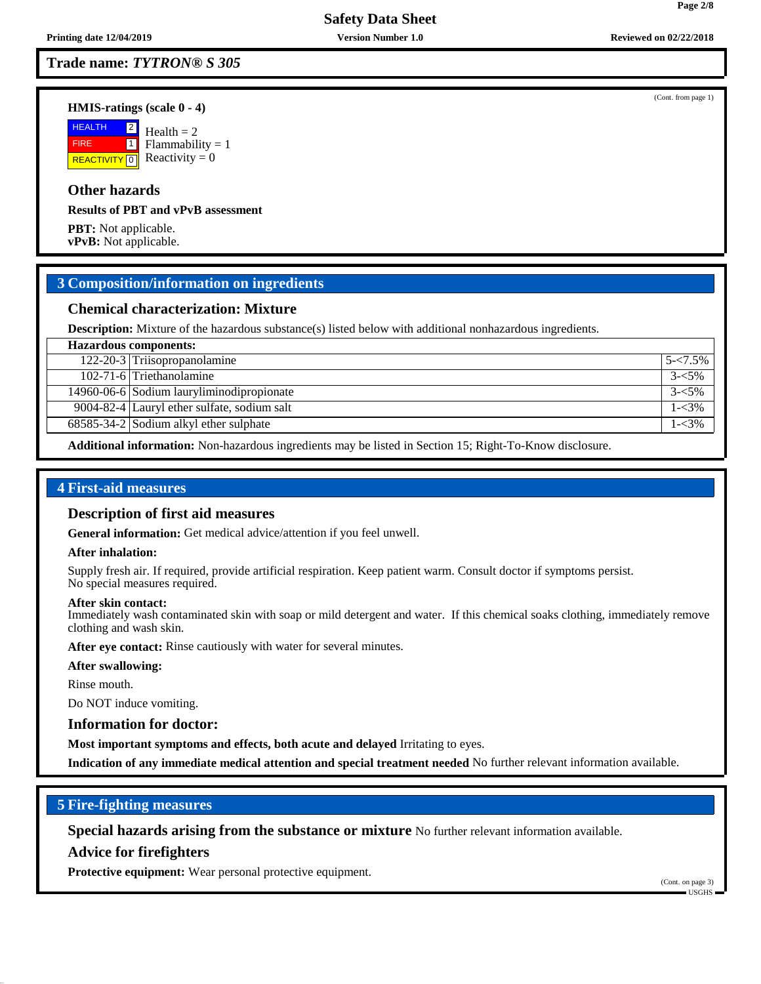## **Trade name:** *TYTRON® S 305*

#### **HMIS-ratings (scale 0 - 4)**

**HEALTH**  FIRE **REACTIVITY** 0  $|2|$  $\boxed{1}$  $Health = 2$  $Flammability = 1$ Reactivity  $= 0$ 

## **Other hazards**

#### **Results of PBT and vPvB assessment**

**PBT:** Not applicable. **vPvB:** Not applicable.

### **3 Composition/information on ingredients**

### **Chemical characterization: Mixture**

**Description:** Mixture of the hazardous substance(s) listed below with additional nonhazardous ingredients.

| <b>Hazardous components:</b>                         |             |
|------------------------------------------------------|-------------|
| 122-20-3 Triisopropanolamine                         | $5 - 7.5\%$ |
| 102-71-6 Triethanolamine                             | $3 - 5\%$   |
| 14960-06-6 Sodium lauryliminodipropionate            | $3 - 5\%$   |
| 9004-82-4 Lauryl ether sulfate, sodium salt          | $1 - 3\%$   |
| $\overline{68585-34}$ -2 Sodium alkyl ether sulphate | 1-<3%       |
|                                                      |             |

**Additional information:** Non-hazardous ingredients may be listed in Section 15; Right-To-Know disclosure.

# **4 First-aid measures**

#### **Description of first aid measures**

**General information:** Get medical advice/attention if you feel unwell.

#### **After inhalation:**

Supply fresh air. If required, provide artificial respiration. Keep patient warm. Consult doctor if symptoms persist. No special measures required.

#### **After skin contact:**

Immediately wash contaminated skin with soap or mild detergent and water. If this chemical soaks clothing, immediately remove clothing and wash skin.

**After eye contact:** Rinse cautiously with water for several minutes.

#### **After swallowing:**

Rinse mouth.

Do NOT induce vomiting.

#### **Information for doctor:**

**Most important symptoms and effects, both acute and delayed** Irritating to eyes.

**Indication of any immediate medical attention and special treatment needed** No further relevant information available.

### **5 Fire-fighting measures**

**Special hazards arising from the substance or mixture** No further relevant information available.

#### **Advice for firefighters**

**Protective equipment:** Wear personal protective equipment.

(Cont. on page 3)  $\blacksquare$  USGHS

(Cont. from page 1)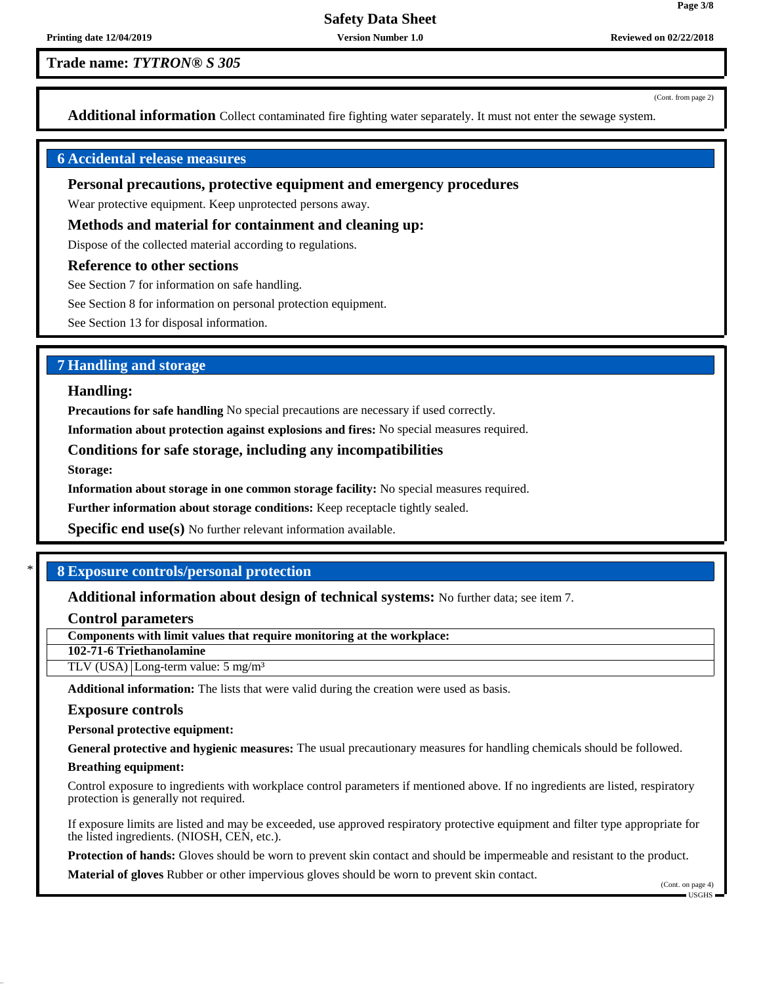# **Trade name:** *TYTRON® S 305*

(Cont. from page 2)

**Page 3/8**

**Additional information** Collect contaminated fire fighting water separately. It must not enter the sewage system.

### **6 Accidental release measures**

### **Personal precautions, protective equipment and emergency procedures**

Wear protective equipment. Keep unprotected persons away.

#### **Methods and material for containment and cleaning up:**

Dispose of the collected material according to regulations.

#### **Reference to other sections**

See Section 7 for information on safe handling.

See Section 8 for information on personal protection equipment.

See Section 13 for disposal information.

### **7 Handling and storage**

#### **Handling:**

**Precautions for safe handling** No special precautions are necessary if used correctly.

**Information about protection against explosions and fires:** No special measures required.

### **Conditions for safe storage, including any incompatibilities**

**Storage:**

**Information about storage in one common storage facility:** No special measures required.

**Further information about storage conditions:** Keep receptacle tightly sealed.

**Specific end use(s)** No further relevant information available.

### \* **8 Exposure controls/personal protection**

**Additional information about design of technical systems:** No further data; see item 7.

**Control parameters**

**Components with limit values that require monitoring at the workplace:**

**102-71-6 Triethanolamine**

TLV (USA) Long-term value: 5 mg/m³

**Additional information:** The lists that were valid during the creation were used as basis.

#### **Exposure controls**

**Personal protective equipment:**

**General protective and hygienic measures:** The usual precautionary measures for handling chemicals should be followed.

#### **Breathing equipment:**

Control exposure to ingredients with workplace control parameters if mentioned above. If no ingredients are listed, respiratory protection is generally not required.

If exposure limits are listed and may be exceeded, use approved respiratory protective equipment and filter type appropriate for the listed ingredients. (NIOSH, CEN, etc.).

**Protection of hands:** Gloves should be worn to prevent skin contact and should be impermeable and resistant to the product.

**Material of gloves** Rubber or other impervious gloves should be worn to prevent skin contact.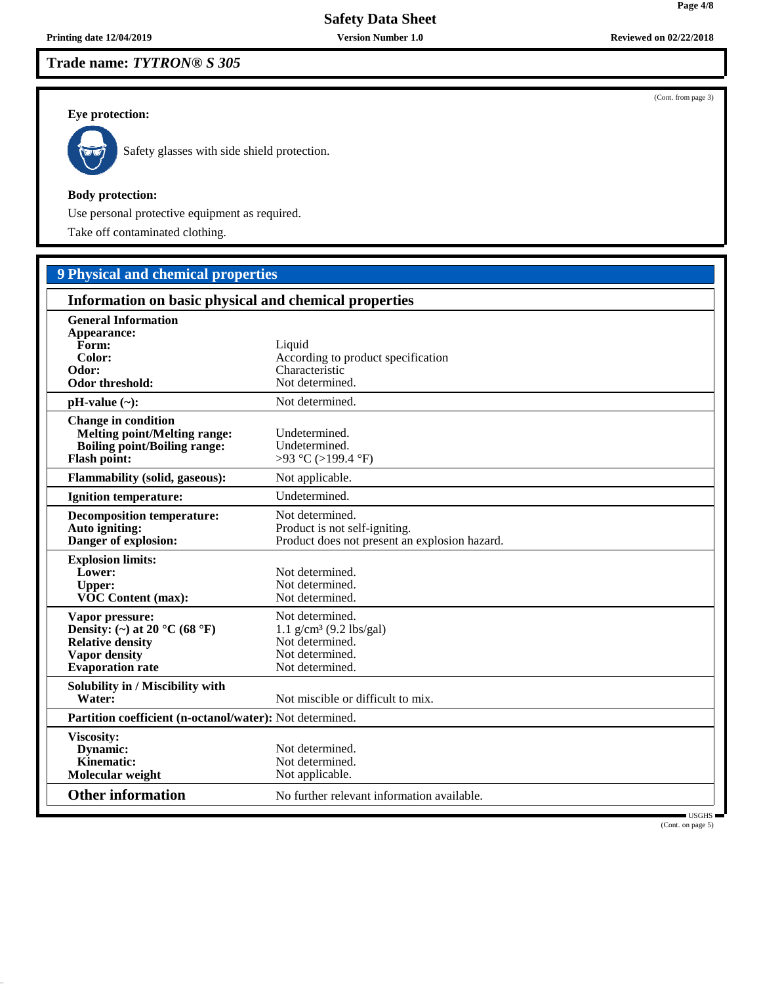# **Trade name:** *TYTRON® S 305*

# **Eye protection:**



Safety glasses with side shield protection.

#### **Body protection:**

Use personal protective equipment as required.

Take off contaminated clothing.

# **9 Physical and chemical properties**

| Information on basic physical and chemical properties                                                                           |                                                                                                                   |
|---------------------------------------------------------------------------------------------------------------------------------|-------------------------------------------------------------------------------------------------------------------|
| <b>General Information</b><br>Appearance:<br>Form:<br>Color:<br>Odor:<br>Odor threshold:                                        | Liquid<br>According to product specification<br>Characteristic<br>Not determined.                                 |
| $pH-value$ (~):                                                                                                                 | Not determined.                                                                                                   |
| <b>Change in condition</b><br><b>Melting point/Melting range:</b><br><b>Boiling point/Boiling range:</b><br><b>Flash point:</b> | Undetermined.<br>Undetermined.<br>>93 °C (>199.4 °F)                                                              |
| <b>Flammability (solid, gaseous):</b>                                                                                           | Not applicable.                                                                                                   |
| <b>Ignition temperature:</b>                                                                                                    | Undetermined.                                                                                                     |
| <b>Decomposition temperature:</b><br>Auto igniting:<br>Danger of explosion:                                                     | Not determined.<br>Product is not self-igniting.<br>Product does not present an explosion hazard.                 |
| <b>Explosion limits:</b><br>Lower:<br><b>Upper:</b><br>VOC Content (max):                                                       | Not determined.<br>Not determined.<br>Not determined.                                                             |
| Vapor pressure:<br>Density: (~) at 20 °C (68 °F)<br><b>Relative density</b><br><b>Vapor density</b><br><b>Evaporation</b> rate  | Not determined.<br>$1.1$ g/cm <sup>3</sup> (9.2 lbs/gal)<br>Not determined.<br>Not determined.<br>Not determined. |
| Solubility in / Miscibility with<br>Water:                                                                                      | Not miscible or difficult to mix.                                                                                 |
| Partition coefficient (n-octanol/water): Not determined.                                                                        |                                                                                                                   |
| Viscosity:<br>Dynamic:<br>Kinematic:<br>Molecular weight                                                                        | Not determined.<br>Not determined.<br>Not applicable.                                                             |
| <b>Other information</b>                                                                                                        | No further relevant information available.<br>USGHS                                                               |

(Cont. on page 5)

(Cont. from page 3)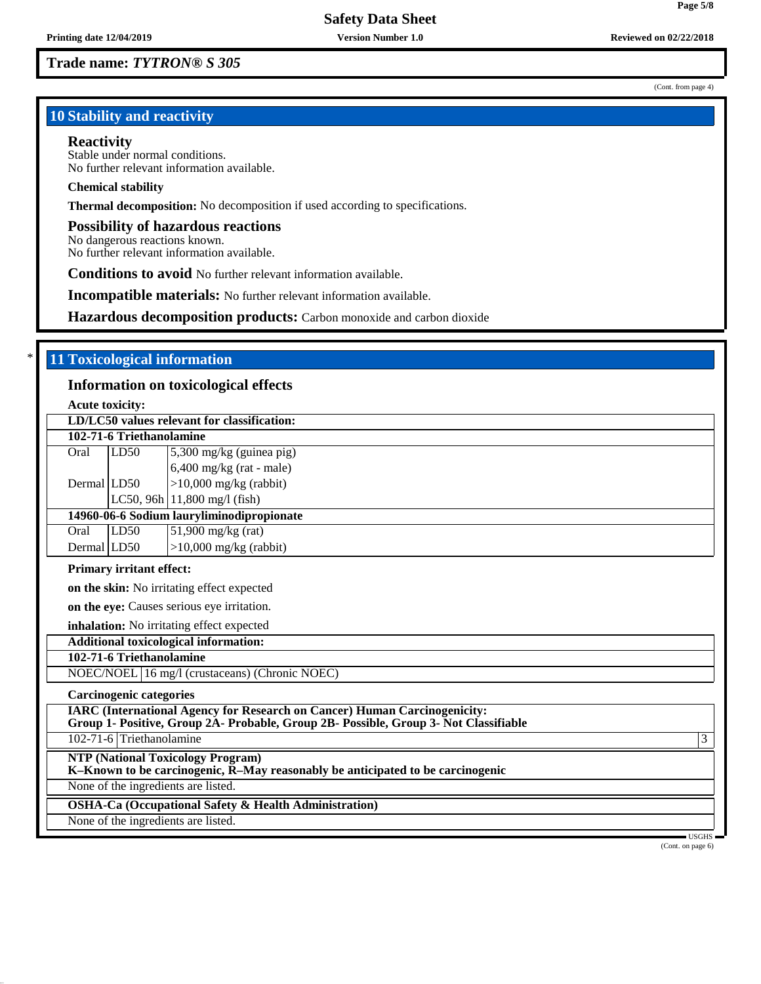**Trade name:** *TYTRON® S 305*

# **10 Stability and reactivity**

#### **Reactivity**

Stable under normal conditions. No further relevant information available.

#### **Chemical stability**

**Thermal decomposition:** No decomposition if used according to specifications.

#### **Possibility of hazardous reactions**

No dangerous reactions known. No further relevant information available.

**Conditions to avoid** No further relevant information available.

**Incompatible materials:** No further relevant information available.

**Hazardous decomposition products:** Carbon monoxide and carbon dioxide

# \* **11 Toxicological information**

### **Information on toxicological effects**

**Acute toxicity:**

|             |                                 | LD/LC50 values relevant for classification:                                                                                                                              |
|-------------|---------------------------------|--------------------------------------------------------------------------------------------------------------------------------------------------------------------------|
|             | 102-71-6 Triethanolamine        |                                                                                                                                                                          |
| Oral        | LD50                            | 5,300 mg/kg (guinea pig)                                                                                                                                                 |
|             |                                 | $6,400$ mg/kg (rat - male)                                                                                                                                               |
| Dermal LD50 |                                 | $>10,000$ mg/kg (rabbit)                                                                                                                                                 |
|             |                                 | LC50, 96h $ 11,800 \text{ mg/l}$ (fish)                                                                                                                                  |
|             |                                 | 14960-06-6 Sodium lauryliminodipropionate                                                                                                                                |
| Oral        | LD50                            | $51,900$ mg/kg (rat)                                                                                                                                                     |
| Dermal LD50 |                                 | $>10,000$ mg/kg (rabbit)                                                                                                                                                 |
|             | <b>Primary irritant effect:</b> |                                                                                                                                                                          |
|             |                                 | <b>on the skin:</b> No irritating effect expected                                                                                                                        |
|             |                                 | on the eye: Causes serious eye irritation.                                                                                                                               |
|             |                                 | inhalation: No irritating effect expected                                                                                                                                |
|             |                                 | <b>Additional toxicological information:</b>                                                                                                                             |
|             | 102-71-6 Triethanolamine        |                                                                                                                                                                          |
|             |                                 | NOEC/NOEL 16 mg/l (crustaceans) (Chronic NOEC)                                                                                                                           |
|             | <b>Carcinogenic categories</b>  |                                                                                                                                                                          |
|             |                                 | <b>IARC</b> (International Agency for Research on Cancer) Human Carcinogenicity:<br>Group 1- Positive, Group 2A- Probable, Group 2B- Possible, Group 3- Not Classifiable |
|             | 102-71-6 Triethanolamine        | 3                                                                                                                                                                        |
|             |                                 | <b>NTP (National Toxicology Program)</b><br>K-Known to be carcinogenic, R-May reasonably be anticipated to be carcinogenic                                               |
|             |                                 | None of the ingredients are listed.                                                                                                                                      |
|             |                                 | <b>OSHA-Ca (Occupational Safety &amp; Health Administration)</b>                                                                                                         |
|             |                                 | None of the ingredients are listed.                                                                                                                                      |
|             |                                 | USGHS<br>(Cont. on page 6)                                                                                                                                               |

(Cont. from page 4)

**Page 5/8**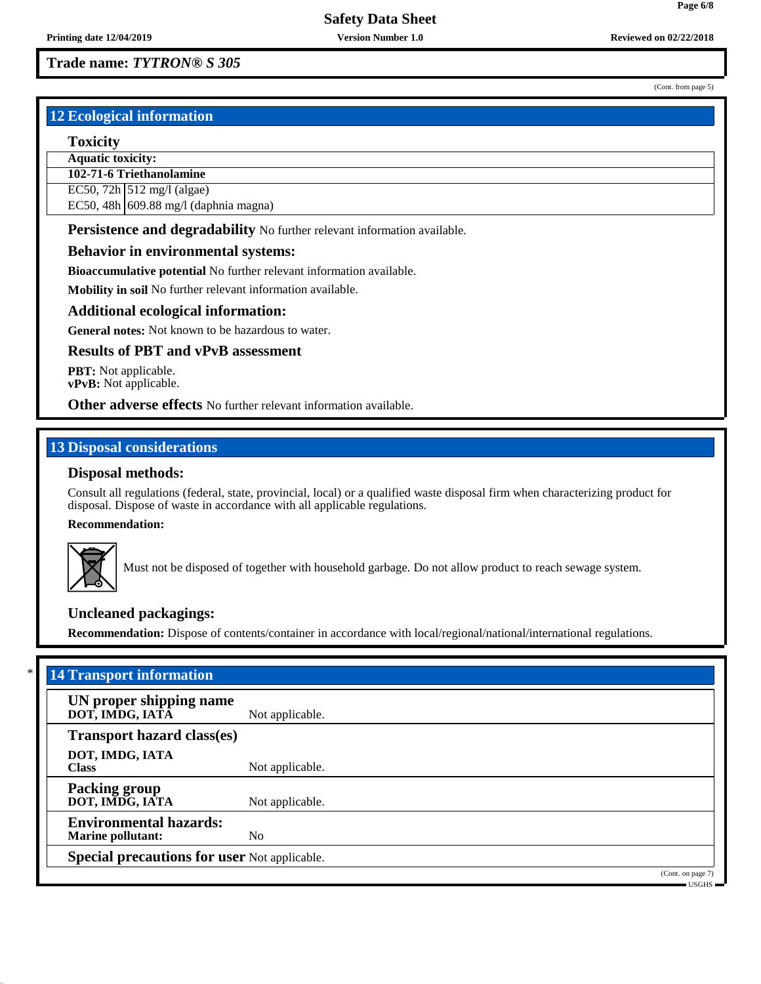# **Trade name:** *TYTRON® S 305*

# **12 Ecological information**

# **Toxicity**

**Aquatic toxicity:**

**102-71-6 Triethanolamine**

EC50, 72h  $\vert$  512 mg/l (algae)

EC50, 48h 609.88 mg/l (daphnia magna)

**Persistence and degradability** No further relevant information available.

# **Behavior in environmental systems:**

**Bioaccumulative potential** No further relevant information available.

**Mobility in soil** No further relevant information available.

# **Additional ecological information:**

**General notes:** Not known to be hazardous to water.

# **Results of PBT and vPvB assessment**

**PBT:** Not applicable. **vPvB:** Not applicable.

**Other adverse effects** No further relevant information available.

# **13 Disposal considerations**

# **Disposal methods:**

Consult all regulations (federal, state, provincial, local) or a qualified waste disposal firm when characterizing product for disposal. Dispose of waste in accordance with all applicable regulations.

# **Recommendation:**



Must not be disposed of together with household garbage. Do not allow product to reach sewage system.

# **Uncleaned packagings:**

**Recommendation:** Dispose of contents/container in accordance with local/regional/national/international regulations.

| UN proper shipping name<br>DOT, IMDG, IATA<br>Not applicable.               |  |
|-----------------------------------------------------------------------------|--|
|                                                                             |  |
| <b>Transport hazard class(es)</b>                                           |  |
| DOT, IMDG, IATA<br><b>Class</b><br>Not applicable.                          |  |
| <b>Packing group</b><br>DOT, IMDG, IATA<br>Not applicable.                  |  |
| <b>Environmental hazards:</b><br>N <sub>o</sub><br><b>Marine pollutant:</b> |  |
| <b>Special precautions for user Not applicable.</b>                         |  |

(Cont. from page 5)

**Page 6/8**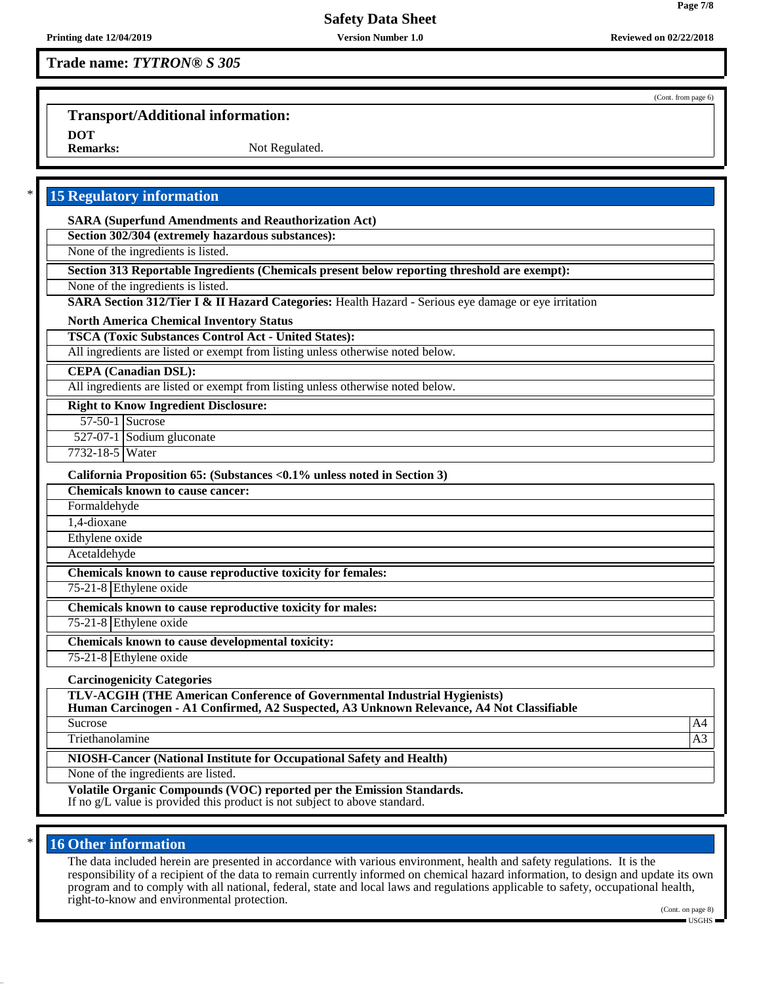# **Trade name:** *TYTRON® S 305*

(Cont. from page 6)

# **Transport/Additional information:**

**DOT**

Not Regulated.

| <b>SARA (Superfund Amendments and Reauthorization Act)</b><br>Section 302/304 (extremely hazardous substances):                                                              |  |
|------------------------------------------------------------------------------------------------------------------------------------------------------------------------------|--|
| None of the ingredients is listed.                                                                                                                                           |  |
| Section 313 Reportable Ingredients (Chemicals present below reporting threshold are exempt):                                                                                 |  |
| None of the ingredients is listed.                                                                                                                                           |  |
| SARA Section 312/Tier I & II Hazard Categories: Health Hazard - Serious eye damage or eye irritation                                                                         |  |
| <b>North America Chemical Inventory Status</b>                                                                                                                               |  |
| <b>TSCA (Toxic Substances Control Act - United States):</b>                                                                                                                  |  |
| All ingredients are listed or exempt from listing unless otherwise noted below.                                                                                              |  |
| <b>CEPA</b> (Canadian DSL):                                                                                                                                                  |  |
| All ingredients are listed or exempt from listing unless otherwise noted below.                                                                                              |  |
| <b>Right to Know Ingredient Disclosure:</b>                                                                                                                                  |  |
| 57-50-1 Sucrose                                                                                                                                                              |  |
| 527-07-1 Sodium gluconate                                                                                                                                                    |  |
| 7732-18-5 Water                                                                                                                                                              |  |
| California Proposition 65: (Substances <0.1% unless noted in Section 3)                                                                                                      |  |
| <b>Chemicals known to cause cancer:</b>                                                                                                                                      |  |
| Formaldehyde                                                                                                                                                                 |  |
| 1,4-dioxane                                                                                                                                                                  |  |
| Ethylene oxide                                                                                                                                                               |  |
| Acetaldehyde                                                                                                                                                                 |  |
| Chemicals known to cause reproductive toxicity for females:                                                                                                                  |  |
| 75-21-8 Ethylene oxide                                                                                                                                                       |  |
| Chemicals known to cause reproductive toxicity for males:                                                                                                                    |  |
| 75-21-8 Ethylene oxide                                                                                                                                                       |  |
| Chemicals known to cause developmental toxicity:                                                                                                                             |  |
| 75-21-8 Ethylene oxide                                                                                                                                                       |  |
| <b>Carcinogenicity Categories</b>                                                                                                                                            |  |
| <b>TLV-ACGIH (THE American Conference of Governmental Industrial Hygienists)</b><br>Human Carcinogen - A1 Confirmed, A2 Suspected, A3 Unknown Relevance, A4 Not Classifiable |  |
| Sucrose                                                                                                                                                                      |  |
| Triethanolamine                                                                                                                                                              |  |
| NIOSH-Cancer (National Institute for Occupational Safety and Health)<br>None of the ingredients are listed.                                                                  |  |

# **16 Other information**

The data included herein are presented in accordance with various environment, health and safety regulations. It is the responsibility of a recipient of the data to remain currently informed on chemical hazard information, to design and update its own program and to comply with all national, federal, state and local laws and regulations applicable to safety, occupational health, right-to-know and environmental protection.